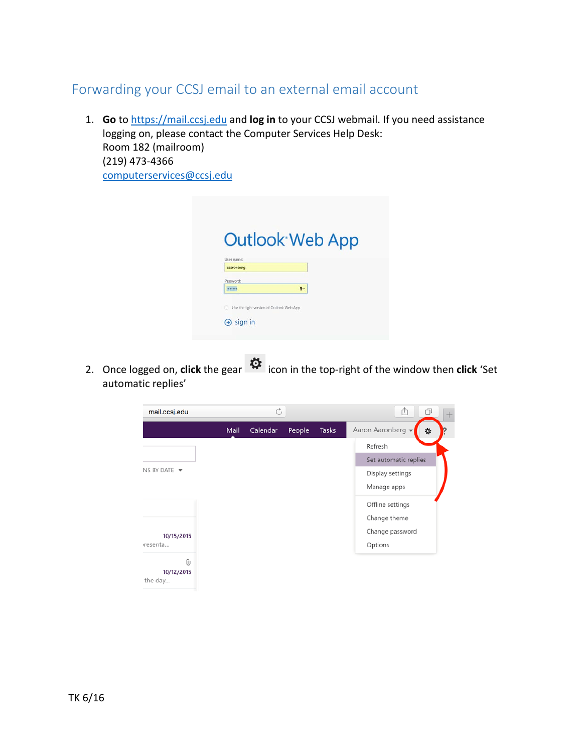## Forwarding your CCSJ email to an external email account

1. **Go** to [https://mail.ccsj.edu](https://mail.ccsj.edu/) and **log in** to your CCSJ webmail. If you need assistance logging on, please contact the Computer Services Help Desk: Room 182 (mailroom) (219) 473-4366 [computerservices@ccsj.edu](mailto:computerservices@ccsj.edu)

|                          | <b>Outlook Web App</b> |  |
|--------------------------|------------------------|--|
| User name:<br>asaronberg |                        |  |
| Password:                |                        |  |
|                          | $\mathbf{r}$           |  |

2. Once logged on, **click** the gear  $\ddot{\ddot{\Omega}}$  icon in the top-right of the window then **click** 'Set automatic replies'

| mail.ccsj.edu                   |      | Ò        |        |              | ŕħ<br>ð<br>$\pm$       |  |  |
|---------------------------------|------|----------|--------|--------------|------------------------|--|--|
|                                 | Mail | Calendar | People | <b>Tasks</b> | Aaron Aaronberg -<br>٠ |  |  |
|                                 |      |          |        |              | Refresh                |  |  |
|                                 |      |          |        |              | Set automatic replies  |  |  |
| NS BY DATE $\blacktriangledown$ |      |          |        |              | Display settings       |  |  |
|                                 |      |          |        |              | Manage apps            |  |  |
|                                 |      |          |        |              | Offline settings       |  |  |
|                                 |      |          |        |              | Change theme           |  |  |
| 10/15/2015                      |      |          |        |              | Change password        |  |  |
| rresenta                        |      |          |        |              | Options                |  |  |
| 0<br>10/12/2015<br>the day      |      |          |        |              |                        |  |  |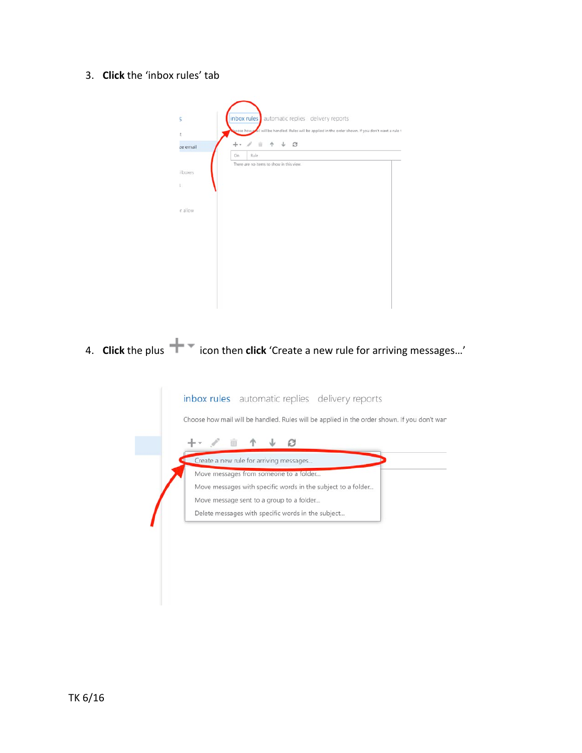3. **Click** the 'inbox rules' tab

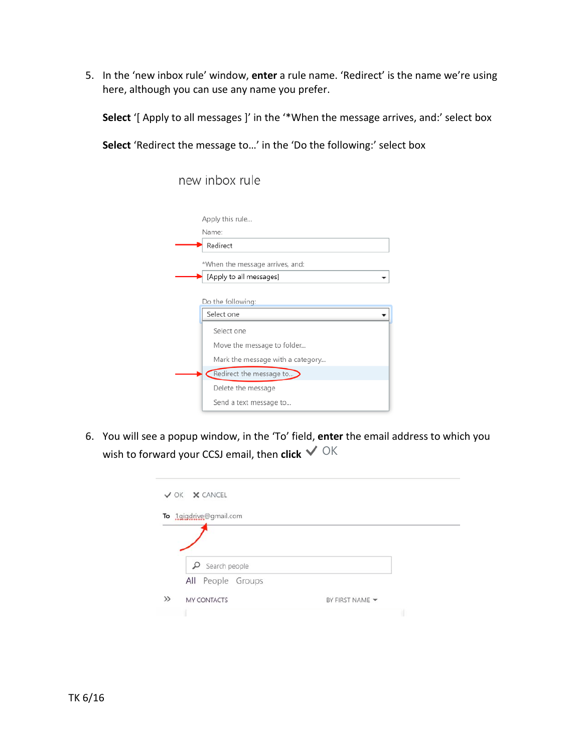5. In the 'new inbox rule' window, **enter** a rule name. 'Redirect' is the name we're using here, although you can use any name you prefer.

**Select** '[ Apply to all messages ]' in the '\*When the message arrives, and:' select box

**Select** 'Redirect the message to…' in the 'Do the following:' select box

new inbox rule

| Apply this rule                  |  |  |  |  |
|----------------------------------|--|--|--|--|
| Name:                            |  |  |  |  |
| Redirect                         |  |  |  |  |
| *When the message arrives, and:  |  |  |  |  |
| [Apply to all messages]          |  |  |  |  |
| Do the following:                |  |  |  |  |
| Select one                       |  |  |  |  |
| Select one                       |  |  |  |  |
| Move the message to folder       |  |  |  |  |
| Mark the message with a category |  |  |  |  |
| Redirect the message to          |  |  |  |  |
| Delete the message               |  |  |  |  |
| Send a text message to           |  |  |  |  |

6. You will see a popup window, in the 'To' field, **enter** the email address to which you wish to forward your CCSJ email, then **click**  $\sqrt{\ }$  OK

|       | $\checkmark$ OK $\checkmark$ CANCEL |                 |  |
|-------|-------------------------------------|-----------------|--|
|       | To 1gigdrive@gmail.com              |                 |  |
|       |                                     |                 |  |
|       | ρ<br>Search people                  |                 |  |
|       | All People Groups                   |                 |  |
| $\gg$ | MY CONTACTS                         | BY FIRST NAME Y |  |
|       |                                     |                 |  |